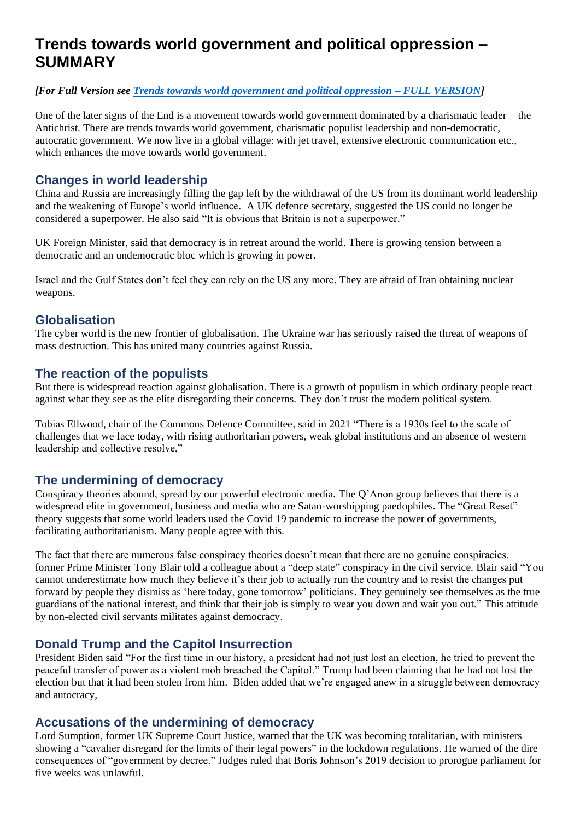# **Trends towards world government and political oppression – SUMMARY**

#### *[For Full Version see [Trends towards world government and political oppression –](#page-1-0) FULL VERSION]*

One of the later signs of the End is a movement towards world government dominated by a charismatic leader – the Antichrist. There are trends towards world government, charismatic populist leadership and non-democratic, autocratic government. We now live in a global village: with jet travel, extensive electronic communication etc., which enhances the move towards world government.

## **Changes in world leadership**

China and Russia are increasingly filling the gap left by the withdrawal of the US from its dominant world leadership and the weakening of Europe's world influence. A UK defence secretary, suggested the US could no longer be considered a superpower. He also said "It is obvious that Britain is not a superpower."

UK Foreign Minister, said that democracy is in retreat around the world. There is growing tension between a democratic and an undemocratic bloc which is growing in power.

Israel and the Gulf States don't feel they can rely on the US any more. They are afraid of Iran obtaining nuclear weapons.

## **Globalisation**

The cyber world is the new frontier of globalisation. The Ukraine war has seriously raised the threat of weapons of mass destruction. This has united many countries against Russia.

## **The reaction of the populists**

But there is widespread reaction against globalisation. There is a growth of populism in which ordinary people react against what they see as the elite disregarding their concerns. They don't trust the modern political system.

Tobias Ellwood, chair of the Commons Defence Committee, said in 2021 "There is a 1930s feel to the scale of challenges that we face today, with rising authoritarian powers, weak global institutions and an absence of western leadership and collective resolve,"

## **The undermining of democracy**

Conspiracy theories abound, spread by our powerful electronic media. The Q'Anon group believes that there is a widespread elite in government, business and media who are Satan-worshipping paedophiles. The "Great Reset" theory suggests that some world leaders used the Covid 19 pandemic to increase the power of governments, facilitating authoritarianism. Many people agree with this.

The fact that there are numerous false conspiracy theories doesn't mean that there are no genuine conspiracies. former Prime Minister Tony Blair told a colleague about a "deep state" conspiracy in the civil service. Blair said "You cannot underestimate how much they believe it's their job to actually run the country and to resist the changes put forward by people they dismiss as 'here today, gone tomorrow' politicians. They genuinely see themselves as the true guardians of the national interest, and think that their job is simply to wear you down and wait you out." This attitude by non-elected civil servants militates against democracy.

## **Donald Trump and the Capitol Insurrection**

President Biden said "For the first time in our history, a president had not just lost an election, he tried to prevent the peaceful transfer of power as a violent mob breached the Capitol." Trump had been claiming that he had not lost the election but that it had been stolen from him. Biden added that we're engaged anew in a struggle between democracy and autocracy,

## **Accusations of the undermining of democracy**

Lord Sumption, former UK Supreme Court Justice, warned that the UK was becoming totalitarian, with ministers showing a "cavalier disregard for the limits of their legal powers" in the lockdown regulations. He warned of the dire consequences of "government by decree." Judges ruled that Boris Johnson's 2019 decision to prorogue [parliament](https://www.independent.co.uk/topic/parliament) for five weeks was unlawful.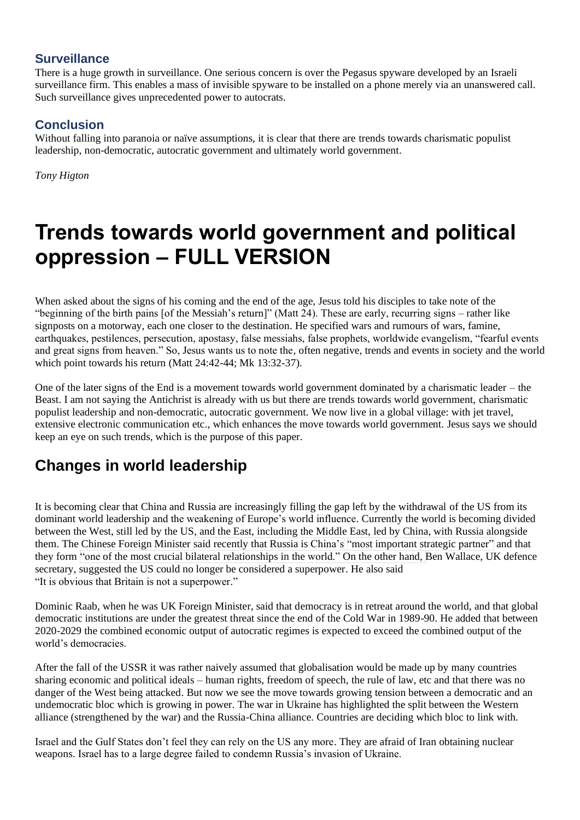## **Surveillance**

There is a huge growth in surveillance. One serious concern is over the Pegasus spyware developed by an Israeli surveillance firm. This enables a mass of invisible spyware to be installed on a phone merely via an unanswered call. Such surveillance gives unprecedented power to autocrats.

## **Conclusion**

Without falling into paranoia or naïve assumptions, it is clear that there are trends towards charismatic populist leadership, non-democratic, autocratic government and ultimately world government.

*Tony Higton*

# <span id="page-1-0"></span>**Trends towards world government and political oppression – FULL VERSION**

When asked about the signs of his coming and the end of the age, Jesus told his disciples to take note of the "beginning of the birth pains [of the Messiah's return]" (Matt 24). These are early, recurring signs – rather like signposts on a motorway, each one closer to the destination. He specified wars and rumours of wars, famine, earthquakes, pestilences, persecution, apostasy, false messiahs, false prophets, worldwide evangelism, "fearful events and great signs from heaven." So, Jesus wants us to note the, often negative, trends and events in society and the world which point towards his return (Matt 24:42-44; Mk 13:32-37).

One of the later signs of the End is a movement towards world government dominated by a charismatic leader – the Beast. I am not saying the Antichrist is already with us but there are trends towards world government, charismatic populist leadership and non-democratic, autocratic government. We now live in a global village: with jet travel, extensive electronic communication etc., which enhances the move towards world government. Jesus says we should keep an eye on such trends, which is the purpose of this paper.

# **Changes in world leadership**

It is becoming clear that China and Russia are increasingly filling the gap left by the withdrawal of the US from its dominant world leadership and the weakening of Europe's world influence. Currently the world is becoming divided between the West, still led by the US, and the East, including the Middle East, led by China, with Russia alongside them. The Chinese Foreign Minister said recently that Russia is China's "most important strategic partner" and that they form "one of the most crucial bilateral relationships in the world." On the other hand, Ben Wallace, UK defence secretary, suggested the US could no longer be considered a superpower. He also said "It is obvious that Britain is not a superpower."

Dominic Raab, when he was UK Foreign Minister, said that democracy is in retreat around the world, and that global democratic institutions are under the greatest threat since the end of the Cold War in 1989-90. He added that between 2020-2029 the combined economic output of autocratic regimes is expected to exceed the combined output of the world's democracies.

After the fall of the USSR it was rather naively assumed that globalisation would be made up by many countries sharing economic and political ideals – human rights, freedom of speech, the rule of law, etc and that there was no danger of the West being attacked. But now we see the move towards growing tension between a democratic and an undemocratic bloc which is growing in power. The war in Ukraine has highlighted the split between the Western alliance (strengthened by the war) and the Russia-China alliance. Countries are deciding which bloc to link with.

Israel and the Gulf States don't feel they can rely on the US any more. They are afraid of Iran obtaining nuclear weapons. Israel has to a large degree failed to condemn Russia's invasion of Ukraine.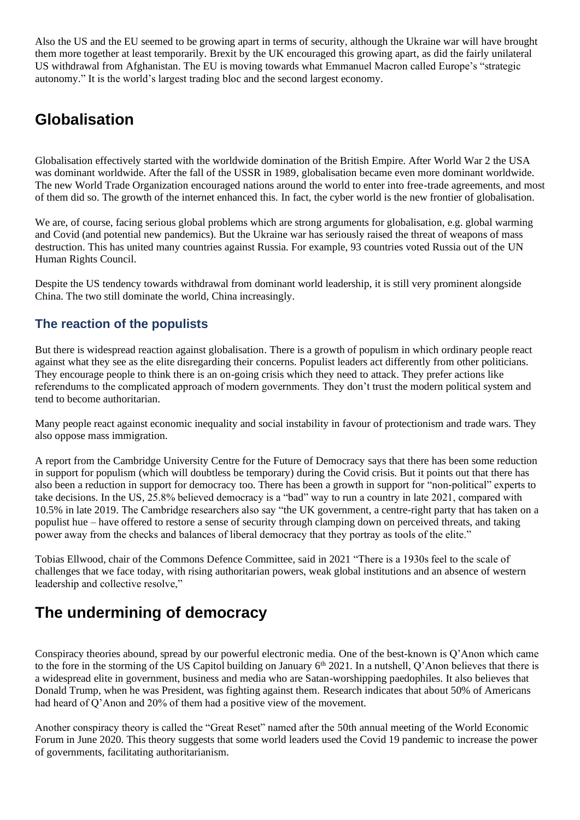Also the US and the EU seemed to be growing apart in terms of security, although the Ukraine war will have brought them more together at least temporarily. Brexit by the UK encouraged this growing apart, as did the fairly unilateral US withdrawal from Afghanistan. The EU is moving towards what Emmanuel Macron called Europe's "strategic autonomy." It is the world's largest trading bloc and the second largest economy.

# **Globalisation**

Globalisation effectively started with the worldwide domination of the British Empire. After World War 2 the USA was dominant worldwide. After the fall of the USSR in 1989, globalisation became even more dominant worldwide. The new World Trade Organization encouraged nations around the world to enter into free-trade agreements, and [most](https://www.wto.org/english/res_e/booksp_e/anrep_e/world_trade_report11_e.pdf)  [of them did](https://www.wto.org/english/res_e/booksp_e/anrep_e/world_trade_report11_e.pdf) so. The growth of the internet enhanced this. In fact, the cyber world is the new frontier of globalisation.

We are, of course, facing serious global problems which are strong arguments for globalisation, e.g. global warming and Covid (and potential new pandemics). But the Ukraine war has seriously raised the threat of weapons of mass destruction. This has united many countries against Russia. For example, 93 countries voted Russia out of the UN Human Rights Council.

Despite the US tendency towards withdrawal from dominant world leadership, it is still very prominent alongside China. The two still dominate the world, China increasingly.

## **The reaction of the populists**

But there is widespread reaction against globalisation. There is a growth of populism in which ordinary people react against what they see as the elite disregarding their concerns. Populist leaders act differently from other politicians. They encourage people to think there is an on-going crisis which they need to attack. They prefer actions like referendums to the complicated approach of modern governments. They don't trust the modern political system and tend to become authoritarian.

Many people react against economic inequality and social instability in favour of protectionism and trade wars. They also oppose mass immigration.

A report from the Cambridge University [Centre for the Future of Democracy](https://www.bennettinstitute.cam.ac.uk/research/centre-future-democracy/) says that there has been some reduction in support for populism (which will doubtless be temporary) during the Covid crisis. But it points out that there has also been a reduction in support for democracy too. There has been a growth in support for "non-political" experts to take decisions. In the US, 25.8% believed democracy is a "bad" way to run a country in late 2021, compared with 10.5% in late 2019. The Cambridge researchers also say "the UK government, a centre-right party that has taken on a populist hue – have offered to restore a sense of security through clamping down on perceived threats, and taking power away from the checks and balances of liberal democracy that they portray as tools of the elite."

Tobias Ellwood, chair of the Commons Defence Committee, said in 2021 "There is a 1930s feel to the scale of challenges that we face today, with rising authoritarian powers, weak global institutions and an absence of western leadership and collective resolve,"

# **The undermining of democracy**

Conspiracy theories abound, spread by our powerful electronic media. One of the best-known is Q'Anon which came to the fore in the storming of the US Capitol building on January 6<sup>th</sup> 2021. In a nutshell, Q'Anon believes that there is a widespread elite in government, business and media who are Satan-worshipping paedophiles. It also believes that Donald Trump, when he was President, was fighting against them. Research indicates that about 50% of Americans had heard of Q'Anon and 20% of them had a positive view of the movement.

Another conspiracy theory is called the "Great Reset" named after the 50th annual meeting of the World Economic Forum in June 2020. This theory suggests that some world leaders used the Covid 19 pandemic to increase the power of governments, facilitating authoritarianism.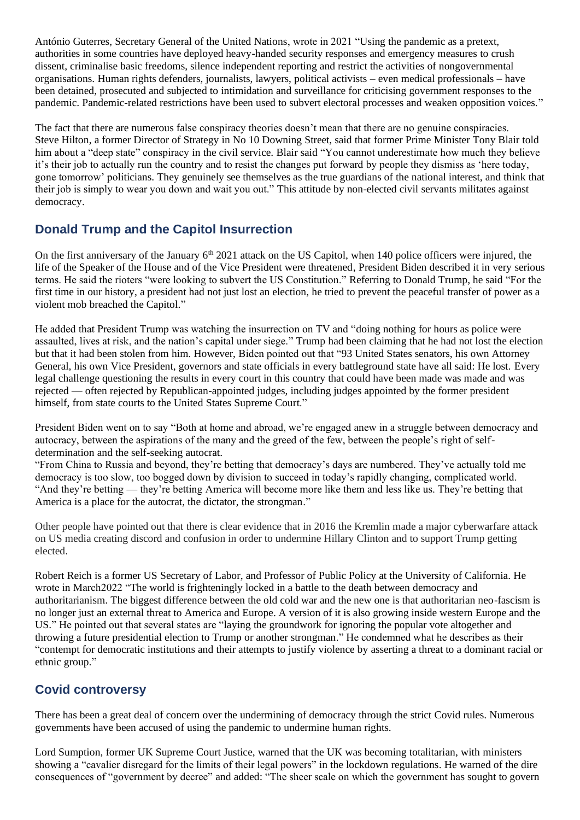António Guterres, Secretary General of the United Nations, wrote in 2021 "Using the pandemic as a pretext, authorities in some countries have deployed heavy-handed security responses and emergency measures to crush dissent, criminalise basic freedoms, silence independent reporting and restrict the activities of nongovernmental organisations. Human rights defenders, journalists, lawyers, political activists – even medical professionals – have been detained, prosecuted and subjected to intimidation and surveillance for criticising government responses to the pandemic. Pandemic-related restrictions have been used to subvert electoral processes and weaken opposition voices."

The fact that there are numerous false conspiracy theories doesn't mean that there are no genuine conspiracies. Steve Hilton, a former Director of Strategy in No 10 Downing Street, said that former Prime Minister Tony Blair told him about a "deep state" conspiracy in the civil service. Blair said "You cannot underestimate how much they believe it's their job to actually run the country and to resist the changes put forward by people they dismiss as 'here today, gone tomorrow' politicians. They genuinely see themselves as the true guardians of the national interest, and think that their job is simply to wear you down and wait you out." This attitude by non-elected civil servants militates against democracy.

## **Donald Trump and the Capitol Insurrection**

On the first anniversary of the January 6<sup>th</sup> 2021 attack on the US Capitol, when 140 police officers were injured, the life of the Speaker of the House and of the Vice President were threatened, President Biden described it in very serious terms. He said the rioters "were looking to subvert the US Constitution." Referring to Donald Trump, he said "For the first time in our history, a president had not just lost an election, he tried to prevent the peaceful transfer of power as a violent mob breached the Capitol."

He added that President Trump was watching the insurrection on TV and "doing nothing for hours as police were assaulted, lives at risk, and the nation's capital under siege." Trump had been claiming that he had not lost the election but that it had been stolen from him. However, Biden pointed out that "93 United States senators, his own Attorney General, his own Vice President, governors and state officials in every battleground state have all said: He lost. Every legal challenge questioning the results in every court in this country that could have been made was made and was rejected — often rejected by Republican-appointed judges, including judges appointed by the former president himself, from state courts to the United States Supreme Court."

President Biden went on to say "Both at home and abroad, we're engaged anew in a struggle between democracy and autocracy, between the aspirations of the many and the greed of the few, between the people's right of selfdetermination and the self-seeking autocrat.

"From China to Russia and beyond, they're betting that democracy's days are numbered. They've actually told me democracy is too slow, too bogged down by division to succeed in today's rapidly changing, complicated world. "And they're betting — they're betting America will become more like them and less like us. They're betting that America is a place for the autocrat, the dictator, the strongman."

Other people have pointed out that there is clear evidence that in 2016 the Kremlin made a major cyberwarfare attack on US media creating discord and confusion in order to undermine Hillary Clinton and to support Trump getting elected.

Robert Reich is a former US Secretary of Labor, and Professor of Public Policy at the University of California. He wrote in March2022 "The world is frighteningly locked in a battle to the death between democracy and authoritarianism. The biggest difference between the old cold war and the new one is that authoritarian neo-fascism is no longer just an external threat to America and Europe. A version of it is also growing inside western Europe and the US." He pointed out that several states are "laying the groundwork for ignoring the popular vote altogether and throwing a future presidential election to Trump or another strongman." He condemned what he describes as their "contempt for democratic institutions and their attempts to justify violence by asserting a threat to a dominant racial or ethnic group."

## **Covid controversy**

There has been a great deal of concern over the undermining of democracy through the strict Covid rules. Numerous governments have been accused of using the pandemic to undermine human rights.

Lord Sumption, former UK Supreme Court Justice, warned that the UK was becoming totalitarian, with ministers showing a "cavalier disregard for the limits of their legal powers" in the lockdown regulations. He warned of the dire consequences of "government by decree" and added: "The sheer scale on which the government has sought to govern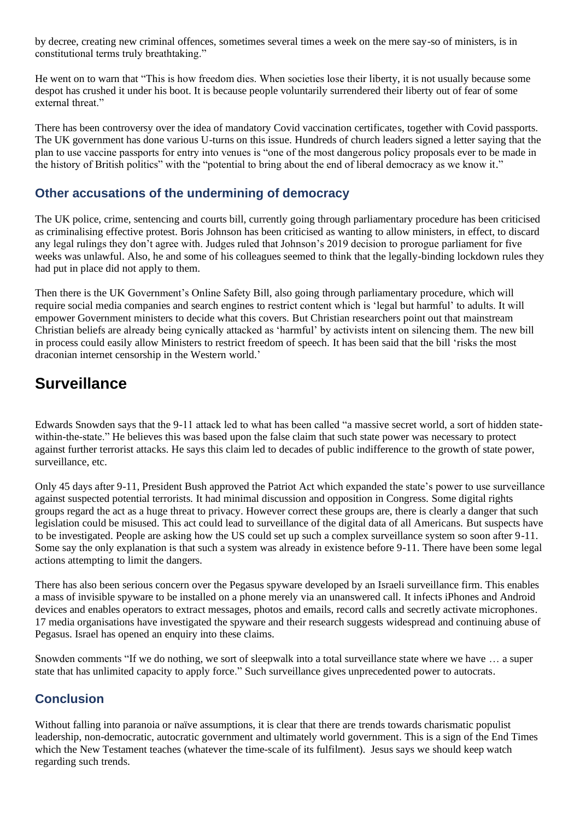by decree, creating new criminal offences, sometimes several times a week on the mere say-so of ministers, is in constitutional terms truly breathtaking."

He went on to warn that "This is how freedom dies. When societies lose their liberty, it is not usually because some despot has crushed it under his boot. It is because people voluntarily surrendered their liberty out of fear of some external threat."

There has been controversy over the idea of mandatory Covid vaccination certificates, together with Covid passports. The UK government has done various U-turns on this issue. Hundreds of church leaders signed a letter saying that the plan to use vaccine passports for entry into venues is "one of the most dangerous policy proposals ever to be made in the history of British politics" with the "potential to bring about the end of liberal democracy as we know it."

## **Other accusations of the undermining of democracy**

The UK police, crime, sentencing and courts bill, currently going through parliamentary procedure has been criticised as criminalising effective protest. Boris Johnson has been criticised as wanting to allow ministers, in effect, to discard any legal rulings they don't agree with. Judges ruled that Johnson's 2019 decision to prorogue parliament for five weeks was unlawful. Also, he and some of his colleagues seemed to think that the legally-binding lockdown rules they had put in place did not apply to them.

Then there is the UK Government's Online Safety Bill, also going through parliamentary procedure, which will require social media companies and search engines to restrict content which is 'legal but harmful' to adults. It will empower Government ministers to decide what this covers. But Christian researchers point out that mainstream Christian beliefs are already being cynically attacked as 'harmful' by activists intent on silencing them. The new bill in process could easily allow Ministers to restrict freedom of speech. It has been said that the bill 'risks the most draconian internet censorship in the Western world.'

# **Surveillance**

Edwards Snowden says that the 9-11 attack led to what has been called "a massive secret world, a sort of hidden statewithin-the-state." He believes this was based upon the false claim that such state power was necessary to protect against further terrorist attacks. He says this claim led to decades of public indifference to the growth of state power, surveillance, etc.

Only 45 days after 9-11, President Bush approved the Patriot Act which expanded the state's power to use surveillance against suspected potential terrorists. It had minimal discussion and opposition in Congress. Some digital rights groups regard the act as a huge threat to privacy. However correct these groups are, there is clearly a danger that such legislation could be misused. This act could lead to surveillance of the digital data of all Americans. But suspects have to be investigated. People are asking how the US could set up such a complex surveillance system so soon after 9-11. Some say the only explanation is that such a system was already in existence before 9-11. There have been some legal actions attempting to limit the dangers.

There has also been serious concern over the Pegasus spyware developed by an Israeli surveillance firm. This enables a mass of invisible spyware to be installed on a phone merely via an unanswered call. It infects iPhones and Android devices and enables operators to extract messages, photos and emails, record calls and secretly activate microphones. 17 media organisations have investigated the spyware and their research suggests widespread and continuing abuse of Pegasus. Israel has opened an enquiry into these claims.

Snowden comments "If we do nothing, we sort of sleepwalk into a total surveillance state where we have … a super state that has unlimited capacity to apply force." Such surveillance gives unprecedented power to autocrats.

## **Conclusion**

Without falling into paranoia or naïve assumptions, it is clear that there are trends towards charismatic populist leadership, non-democratic, autocratic government and ultimately world government. This is a sign of the End Times which the New Testament teaches (whatever the time-scale of its fulfilment). Jesus says we should keep watch regarding such trends.